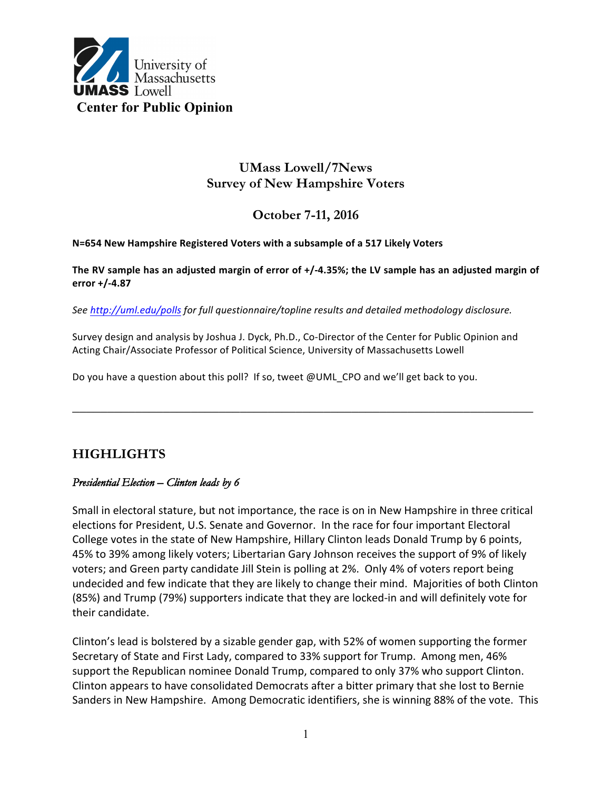

# **UMass Lowell/7News Survey of New Hampshire Voters**

# **October 7-11, 2016**

#### **N=654 New Hampshire Registered Voters with a subsample of a 517 Likely Voters**

#### **The RV sample has an adjusted margin of error of +/-4.35%; the LV sample has an adjusted margin of error +/-4.87**

*See http://uml.edu/polls for full questionnaire/topline results and detailed methodology disclosure.*

Survey design and analysis by Joshua J. Dyck, Ph.D., Co-Director of the Center for Public Opinion and Acting Chair/Associate Professor of Political Science, University of Massachusetts Lowell

**\_\_\_\_\_\_\_\_\_\_\_\_\_\_\_\_\_\_\_\_\_\_\_\_\_\_\_\_\_\_\_\_\_\_\_\_\_\_\_\_\_\_\_\_\_\_\_\_\_\_\_\_\_\_\_\_\_\_\_\_\_\_\_\_\_\_**

Do you have a question about this poll? If so, tweet @UML\_CPO and we'll get back to you.

# **HIGHLIGHTS**

### *Presidential Election – Clinton leads by 6*

Small in electoral stature, but not importance, the race is on in New Hampshire in three critical elections for President, U.S. Senate and Governor. In the race for four important Electoral College votes in the state of New Hampshire, Hillary Clinton leads Donald Trump by 6 points, 45% to 39% among likely voters; Libertarian Gary Johnson receives the support of 9% of likely voters; and Green party candidate Jill Stein is polling at 2%. Only 4% of voters report being undecided and few indicate that they are likely to change their mind. Majorities of both Clinton (85%) and Trump (79%) supporters indicate that they are locked-in and will definitely vote for their candidate.

Clinton's lead is bolstered by a sizable gender gap, with 52% of women supporting the former Secretary of State and First Lady, compared to 33% support for Trump. Among men, 46% support the Republican nominee Donald Trump, compared to only 37% who support Clinton. Clinton appears to have consolidated Democrats after a bitter primary that she lost to Bernie Sanders in New Hampshire. Among Democratic identifiers, she is winning 88% of the vote. This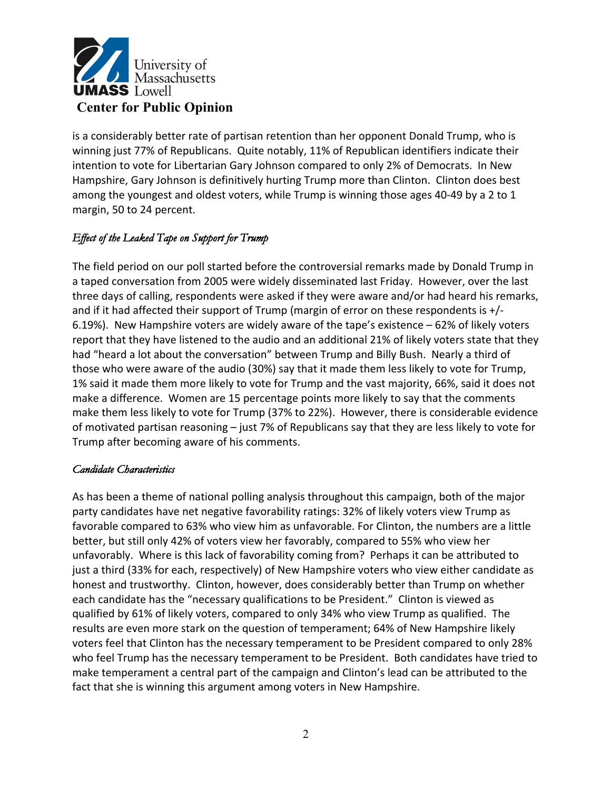

is a considerably better rate of partisan retention than her opponent Donald Trump, who is winning just 77% of Republicans. Quite notably, 11% of Republican identifiers indicate their intention to vote for Libertarian Gary Johnson compared to only 2% of Democrats. In New Hampshire, Gary Johnson is definitively hurting Trump more than Clinton. Clinton does best among the youngest and oldest voters, while Trump is winning those ages 40-49 by a 2 to 1 margin, 50 to 24 percent.

## *Effect of the Leaked Tape on Support for Trump*

The field period on our poll started before the controversial remarks made by Donald Trump in a taped conversation from 2005 were widely disseminated last Friday. However, over the last three days of calling, respondents were asked if they were aware and/or had heard his remarks, and if it had affected their support of Trump (margin of error on these respondents is  $+/-$ 6.19%). New Hampshire voters are widely aware of the tape's existence – 62% of likely voters report that they have listened to the audio and an additional 21% of likely voters state that they had "heard a lot about the conversation" between Trump and Billy Bush. Nearly a third of those who were aware of the audio (30%) say that it made them less likely to vote for Trump, 1% said it made them more likely to vote for Trump and the vast majority, 66%, said it does not make a difference. Women are 15 percentage points more likely to say that the comments make them less likely to vote for Trump (37% to 22%). However, there is considerable evidence of motivated partisan reasoning  $-$  just 7% of Republicans say that they are less likely to vote for Trump after becoming aware of his comments.

## *Candidate Characteristics*

As has been a theme of national polling analysis throughout this campaign, both of the major party candidates have net negative favorability ratings: 32% of likely voters view Trump as favorable compared to 63% who view him as unfavorable. For Clinton, the numbers are a little better, but still only 42% of voters view her favorably, compared to 55% who view her unfavorably. Where is this lack of favorability coming from? Perhaps it can be attributed to just a third (33% for each, respectively) of New Hampshire voters who view either candidate as honest and trustworthy. Clinton, however, does considerably better than Trump on whether each candidate has the "necessary qualifications to be President." Clinton is viewed as qualified by 61% of likely voters, compared to only 34% who view Trump as qualified. The results are even more stark on the question of temperament; 64% of New Hampshire likely voters feel that Clinton has the necessary temperament to be President compared to only 28% who feel Trump has the necessary temperament to be President. Both candidates have tried to make temperament a central part of the campaign and Clinton's lead can be attributed to the fact that she is winning this argument among voters in New Hampshire.